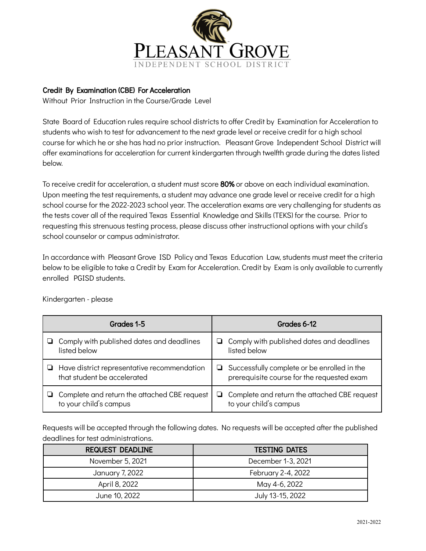

## Credit By Examination (CBE) For Acceleration Credit By Examination (CBE) For Acceleration

Without Prior Instruction in the Course/Grade Level

State Board of Education rules require school districts to offer Credit by Examination for Acceleration to students who wish to test for advancement to the next grade level or receive credit for a high school course for which he or she has had no prior instruction. Pleasant Grove Independent School District will offer examinations for acceleration for current kindergarten through twelfth grade during the dates listed below.

To receive credit for acceleration, a student must score 80% or above on each individual examination. Upon meeting the test requirements, a student may advance one grade level or receive credit for a high school course for the 2022-2023 school year. The acceleration exams are very challenging for students as the tests cover all of the required Texas Essential Knowledge and Skills (TEKS) for the course. Prior to requesting this strenuous testing process, please discuss other instructional options with your child's school counselor or campus administrator.

In accordance with Pleasant Grove ISD Policy and Texas Education Law, students must meet the criteria below to be eligible to take a Credit by Exam for Acceleration. Credit by Exam is only available to currently enrolled PGISD students.

| Grades 1-5                                                                        | Grades 6-12                                                                                     |  |
|-----------------------------------------------------------------------------------|-------------------------------------------------------------------------------------------------|--|
| Comply with published dates and deadlines                                         | $\Box$ Comply with published dates and deadlines                                                |  |
| listed below                                                                      | listed below                                                                                    |  |
| $\Box$ Have district representative recommendation<br>that student be accelerated | Successfully complete or be enrolled in the<br>u.<br>prerequisite course for the requested exam |  |
| Complete and return the attached CBE request                                      | $\Box$ Complete and return the attached CBE request                                             |  |
| to your child's campus                                                            | to your child's campus                                                                          |  |

Kindergarten - please

Requests will be accepted through the following dates. No requests will be accepted after the published deadlines for test administrations.

| <b>REQUEST DEADLINE</b> | <b>TESTING DATES</b> |  |
|-------------------------|----------------------|--|
| November 5, 2021        | December 1-3, 2021   |  |
| January 7, 2022         | February 2-4, 2022   |  |
| April 8, 2022           | May 4-6, 2022        |  |
| June 10, 2022           | July 13-15, 2022     |  |